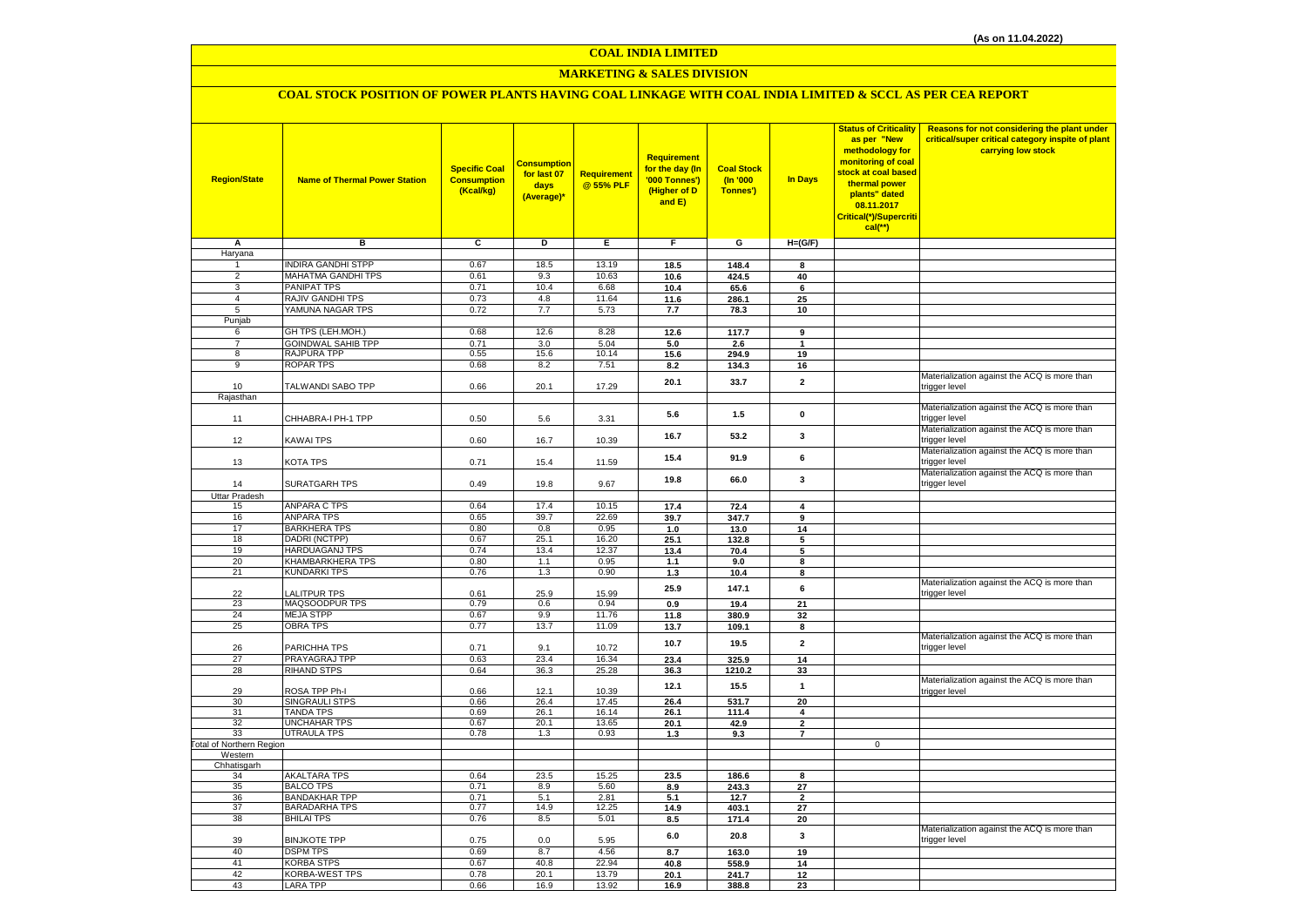# **MARKETING & SALES DIVISION**

# **COAL STOCK POSITION OF POWER PLANTS HAVING COAL LINKAGE WITH COAL INDIA LIMITED & SCCL AS PER CEA REPORT**

| <b>Region/State</b>              | <b>Name of Thermal Power Station</b>    | <b>Specific Coal</b><br><b>Consumption</b><br>(Kcal/kg) | <mark>Consumption</mark><br>for last 07<br>days<br>(Average)* | Requirement<br>@ 55% PLF | Requirement<br>for the day (In<br>'000 Tonnes')<br>(Higher of D<br>and E) | <b>Coal Stock</b><br>(n'000)<br>Tonnes') | In Days              | <b>Status of Criticality</b><br>as per "New<br>methodology for<br>monitoring of coal<br>stock at coal based<br>thermal power<br>plants" dated<br>08.11.2017<br>Critical(*)/Supercriti<br>$cal$ (**) | Reasons for not considering the plant under<br>critical/super critical category inspite of plant<br>carrying low stock |
|----------------------------------|-----------------------------------------|---------------------------------------------------------|---------------------------------------------------------------|--------------------------|---------------------------------------------------------------------------|------------------------------------------|----------------------|-----------------------------------------------------------------------------------------------------------------------------------------------------------------------------------------------------|------------------------------------------------------------------------------------------------------------------------|
| Α                                | в                                       | c                                                       | D                                                             | Е                        | F.                                                                        | G                                        | $H=(G/F)$            |                                                                                                                                                                                                     |                                                                                                                        |
| Haryana                          |                                         |                                                         |                                                               |                          |                                                                           |                                          |                      |                                                                                                                                                                                                     |                                                                                                                        |
| 1                                | <b>INDIRA GANDHI STPP</b>               | 0.67                                                    | 18.5                                                          | 13.19                    | 18.5                                                                      | 148.4                                    | 8                    |                                                                                                                                                                                                     |                                                                                                                        |
| $\overline{2}$                   | MAHATMA GANDHI TPS<br>PANIPAT TPS       | 0.61                                                    | 9.3                                                           | 10.63                    | 10.6                                                                      | 424.5                                    | 40                   |                                                                                                                                                                                                     |                                                                                                                        |
| $\overline{3}$<br>$\overline{4}$ | RAJIV GANDHI TPS                        | 0.71<br>0.73                                            | 10.4<br>4.8                                                   | 6.68<br>11.64            | 10.4<br>11.6                                                              | 65.6<br>286.1                            | 6<br>25              |                                                                                                                                                                                                     |                                                                                                                        |
| 5                                | YAMUNA NAGAR TPS                        | 0.72                                                    | 7.7                                                           | 5.73                     | 7.7                                                                       | 78.3                                     | 10                   |                                                                                                                                                                                                     |                                                                                                                        |
| Punjab                           |                                         |                                                         |                                                               |                          |                                                                           |                                          |                      |                                                                                                                                                                                                     |                                                                                                                        |
| 6                                | GH TPS (LEH.MOH.)                       | 0.68                                                    | 12.6                                                          | 8.28                     | 12.6                                                                      | 117.7                                    | 9                    |                                                                                                                                                                                                     |                                                                                                                        |
| $\overline{7}$                   | <b>GOINDWAL SAHIB TPP</b>               | 0.71                                                    | 3.0                                                           | 5.04                     | 5.0                                                                       | 2.6                                      | $\blacktriangleleft$ |                                                                                                                                                                                                     |                                                                                                                        |
| 8                                | RAJPURA TPP                             | 0.55                                                    | 15.6                                                          | 10.14                    | 15.6                                                                      | 294.9                                    | 19                   |                                                                                                                                                                                                     |                                                                                                                        |
| $\overline{9}$                   | <b>ROPAR TPS</b>                        | 0.68                                                    | 8.2                                                           | 7.51                     | 8.2                                                                       | 134.3                                    | 16                   |                                                                                                                                                                                                     |                                                                                                                        |
|                                  |                                         |                                                         |                                                               |                          | 20.1                                                                      | 33.7                                     | $\mathbf{2}$         |                                                                                                                                                                                                     | Materialization against the ACQ is more than                                                                           |
| 10<br>Rajasthan                  | TALWANDI SABO TPP                       | 0.66                                                    | 20.1                                                          | 17.29                    |                                                                           |                                          |                      |                                                                                                                                                                                                     | trigger level                                                                                                          |
|                                  |                                         |                                                         |                                                               |                          |                                                                           |                                          |                      |                                                                                                                                                                                                     | Materialization against the ACQ is more than                                                                           |
| 11                               | CHHABRA-I PH-1 TPP                      | 0.50                                                    | 5.6                                                           | 3.31                     | 5.6                                                                       | $1.5$                                    | $\mathbf 0$          |                                                                                                                                                                                                     | trigger level                                                                                                          |
|                                  |                                         |                                                         |                                                               |                          |                                                                           |                                          |                      |                                                                                                                                                                                                     | Materialization against the ACQ is more than                                                                           |
| 12                               | KAWAI TPS                               | 0.60                                                    | 16.7                                                          | 10.39                    | 16.7                                                                      | 53.2                                     | 3                    |                                                                                                                                                                                                     | trigger level                                                                                                          |
|                                  |                                         |                                                         |                                                               |                          | 15.4                                                                      | 91.9                                     | 6                    |                                                                                                                                                                                                     | Materialization against the ACQ is more than                                                                           |
| 13                               | KOTA TPS                                | 0.71                                                    | 15.4                                                          | 11.59                    |                                                                           |                                          |                      |                                                                                                                                                                                                     | trigger level                                                                                                          |
|                                  |                                         |                                                         |                                                               |                          | 19.8                                                                      | 66.0                                     | 3                    |                                                                                                                                                                                                     | Materialization against the ACQ is more than                                                                           |
| 14                               | <b>SURATGARH TPS</b>                    | 0.49                                                    | 19.8                                                          | 9.67                     |                                                                           |                                          |                      |                                                                                                                                                                                                     | trigger level                                                                                                          |
| <b>Uttar Pradesh</b><br>15       | <b>ANPARA C TPS</b>                     | 0.64                                                    | 17.4                                                          | 10.15                    | 17.4                                                                      | 72.4                                     | 4                    |                                                                                                                                                                                                     |                                                                                                                        |
| 16                               | <b>ANPARA TPS</b>                       | 0.65                                                    | 39.7                                                          | 22.69                    | 39.7                                                                      | 347.7                                    | 9                    |                                                                                                                                                                                                     |                                                                                                                        |
| 17                               | <b>BARKHERA TPS</b>                     | 0.80                                                    | 0.8                                                           | 0.95                     | 1.0                                                                       | 13.0                                     | 14                   |                                                                                                                                                                                                     |                                                                                                                        |
| 18                               | DADRI (NCTPP)                           | 0.67                                                    | 25.1                                                          | 16.20                    | 25.1                                                                      | 132.8                                    | 5                    |                                                                                                                                                                                                     |                                                                                                                        |
| 19                               | HARDUAGANJ TPS                          | 0.74                                                    | 13.4                                                          | 12.37                    | 13.4                                                                      | 70.4                                     | 5                    |                                                                                                                                                                                                     |                                                                                                                        |
| 20                               | KHAMBARKHERA TPS                        | 0.80                                                    | 1.1                                                           | 0.95                     | 1.1                                                                       | 9.0                                      | 8                    |                                                                                                                                                                                                     |                                                                                                                        |
| 21                               | <b>KUNDARKI TPS</b>                     | 0.76                                                    | 1.3                                                           | 0.90                     | 1.3                                                                       | 10.4                                     | 8                    |                                                                                                                                                                                                     |                                                                                                                        |
|                                  |                                         |                                                         |                                                               |                          | 25.9                                                                      | 147.1                                    | 6                    |                                                                                                                                                                                                     | Materialization against the ACQ is more than                                                                           |
| 22<br>23                         | <b>ALITPUR TPS</b><br>MAQSOODPUR TPS    | 0.61<br>0.79                                            | 25.9<br>0.6                                                   | 15.99<br>0.94            |                                                                           |                                          |                      |                                                                                                                                                                                                     | trigger level                                                                                                          |
| 24                               | <b>MEJA STPP</b>                        | 0.67                                                    | 9.9                                                           | 11.76                    | 0.9                                                                       | 19.4                                     | 21                   |                                                                                                                                                                                                     |                                                                                                                        |
| 25                               | <b>OBRA TPS</b>                         | 0.77                                                    | 13.7                                                          | 11.09                    | 11.8<br>13.7                                                              | 380.9<br>109.1                           | 32<br>8              |                                                                                                                                                                                                     |                                                                                                                        |
|                                  |                                         |                                                         |                                                               |                          |                                                                           |                                          |                      |                                                                                                                                                                                                     | Materialization against the ACQ is more than                                                                           |
| 26                               | PARICHHA TPS                            | 0.71                                                    | 9.1                                                           | 10.72                    | 10.7                                                                      | 19.5                                     | $\mathbf{2}$         |                                                                                                                                                                                                     | trigger level                                                                                                          |
| 27                               | PRAYAGRAJ TPP                           | 0.63                                                    | 23.4                                                          | 16.34                    | 23.4                                                                      | 325.9                                    | 14                   |                                                                                                                                                                                                     |                                                                                                                        |
| 28                               | <b>RIHAND STPS</b>                      | 0.64                                                    | 36.3                                                          | 25.28                    | 36.3                                                                      | 1210.2                                   | 33                   |                                                                                                                                                                                                     |                                                                                                                        |
|                                  |                                         |                                                         |                                                               |                          | 12.1                                                                      | 15.5                                     | $\mathbf{1}$         |                                                                                                                                                                                                     | Materialization against the ACQ is more than                                                                           |
| 29<br>30                         | ROSA TPP Ph-I<br>SINGRAULI STPS         | 0.66<br>0.66                                            | 12.1<br>26.4                                                  | 10.39<br>17.45           | 26.4                                                                      | 531.7                                    | 20                   |                                                                                                                                                                                                     | trigger level                                                                                                          |
| 31                               | <b>TANDA TPS</b>                        | 0.69                                                    | 26.1                                                          | 16.14                    | 26.1                                                                      | 111.4                                    | 4                    |                                                                                                                                                                                                     |                                                                                                                        |
| 32                               | UNCHAHAR TPS                            | 0.67                                                    | 20.1                                                          | 13.65                    | 20.1                                                                      | 42.9                                     | $\mathbf{2}$         |                                                                                                                                                                                                     |                                                                                                                        |
| 33                               | <b>UTRAULA TPS</b>                      | 0.78                                                    | 1.3                                                           | 0.93                     | 1.3                                                                       | 9.3                                      | $\overline{7}$       |                                                                                                                                                                                                     |                                                                                                                        |
| Total of Northern Region         |                                         |                                                         |                                                               |                          |                                                                           |                                          |                      | $\mathsf 0$                                                                                                                                                                                         |                                                                                                                        |
| Western                          |                                         |                                                         |                                                               |                          |                                                                           |                                          |                      |                                                                                                                                                                                                     |                                                                                                                        |
| Chhatisgarh                      |                                         |                                                         |                                                               |                          |                                                                           |                                          |                      |                                                                                                                                                                                                     |                                                                                                                        |
| 34<br>35                         | <b>AKALTARA TPS</b><br><b>BALCO TPS</b> | 0.64<br>0.71                                            | 23.5<br>8.9                                                   | 15.25<br>5.60            | 23.5<br>8.9                                                               | 186.6<br>243.3                           | 8<br>27              |                                                                                                                                                                                                     |                                                                                                                        |
| 36                               | <b>BANDAKHAR TPP</b>                    | 0.71                                                    | 5.1                                                           | 2.81                     | 5.1                                                                       | 12.7                                     | $\overline{2}$       |                                                                                                                                                                                                     |                                                                                                                        |
| 37                               | <b>BARADARHA TPS</b>                    | 0.77                                                    | 14.9                                                          | 12.25                    | 14.9                                                                      | 403.1                                    | 27                   |                                                                                                                                                                                                     |                                                                                                                        |
| 38                               | <b>BHILAI TPS</b>                       | 0.76                                                    | 8.5                                                           | 5.01                     | 8.5                                                                       | 171.4                                    | 20                   |                                                                                                                                                                                                     |                                                                                                                        |
|                                  |                                         |                                                         |                                                               |                          | 6.0                                                                       | 20.8                                     | 3                    |                                                                                                                                                                                                     | Materialization against the ACQ is more than                                                                           |
| 39                               | <b>BINJKOTE TPP</b>                     | 0.75                                                    | 0.0                                                           | 5.95                     |                                                                           |                                          |                      |                                                                                                                                                                                                     | trigger level                                                                                                          |
| 40                               | <b>DSPM TPS</b>                         | 0.69                                                    | 8.7                                                           | 4.56                     | 8.7                                                                       | 163.0                                    | 19                   |                                                                                                                                                                                                     |                                                                                                                        |
| 41                               | <b>KORBA STPS</b>                       | 0.67                                                    | 40.8                                                          | 22.94                    | 40.8                                                                      | 558.9                                    | 14                   |                                                                                                                                                                                                     |                                                                                                                        |
| 42                               | KORBA-WEST TPS                          | 0.78                                                    | 20.1                                                          | 13.79                    | 20.1                                                                      | 241.7                                    | 12                   |                                                                                                                                                                                                     |                                                                                                                        |
| 43                               | LARA TPP                                | 0.66                                                    | 16.9                                                          | 13.92                    | 16.9                                                                      | 388.8                                    | 23                   |                                                                                                                                                                                                     |                                                                                                                        |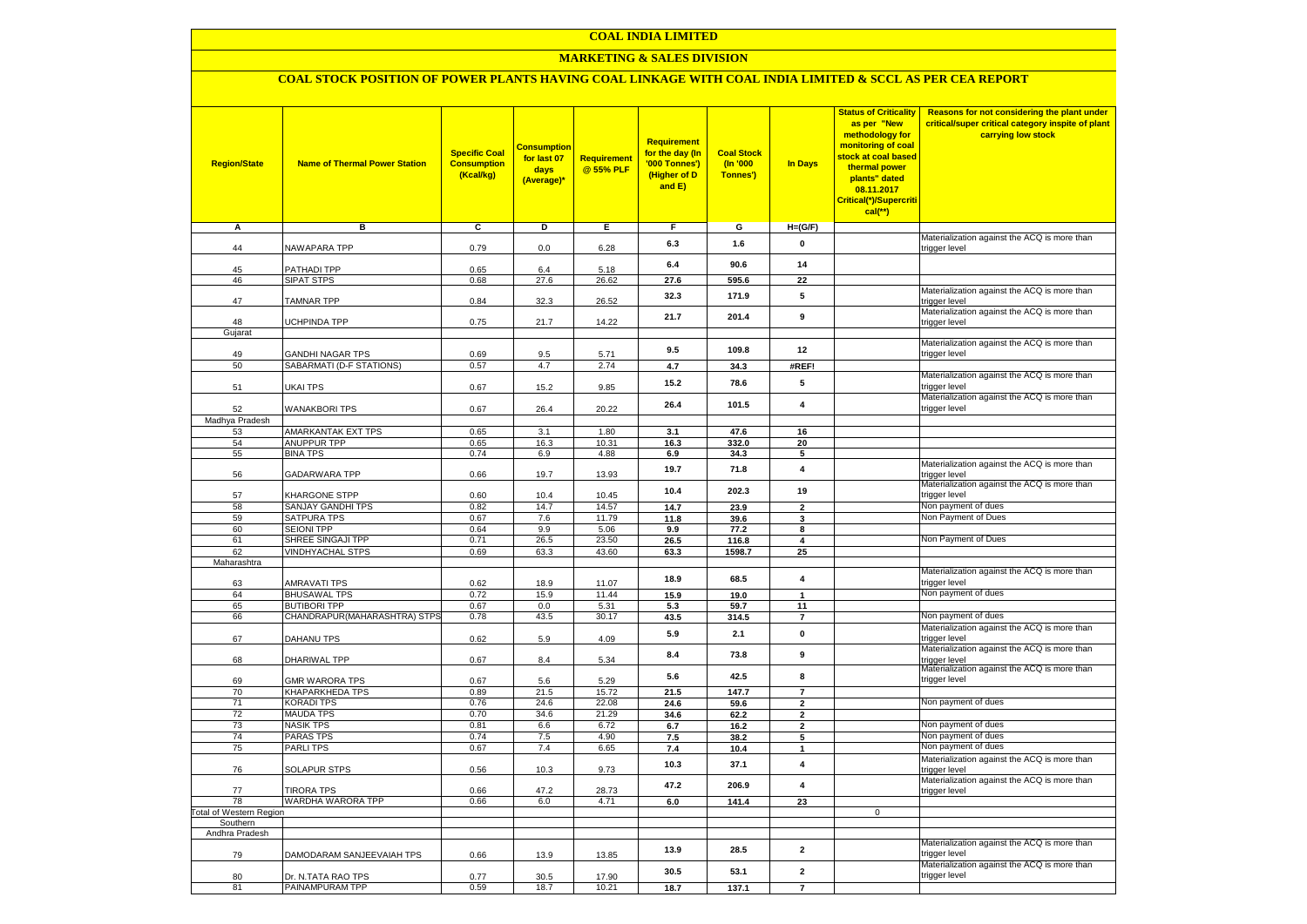### **MARKETING & SALES DIVISION**

### **COAL STOCK POSITION OF POWER PLANTS HAVING COAL LINKAGE WITH COAL INDIA LIMITED & SCCL AS PER CEA REPORT**

| <b>Region/State</b>          | <b>Name of Thermal Power Station</b>                | <b>Specific Coal</b><br><b>Consumption</b><br>(Kcal/kg) | <mark>Consumption</mark><br>for last 07<br>days<br>(Average)* | <b>Requirement</b><br>@ 55% PLF | <b>Requirement</b><br>for the day (In<br>'000 Tonnes')<br>(Higher of D<br>and E) | <b>Coal Stock</b><br>(In '000<br>Tonnes') | <b>In Days</b>               | <b>Status of Criticality</b><br>as per "New<br>methodology for<br>monitoring of coal<br>stock at coal based<br>thermal power<br>plants" dated<br>08.11.2017<br>Critical(*)/Supercriti<br>$cal$ (**) | Reasons for not considering the plant under<br>critical/super critical category inspite of plant<br>carrying low stock |
|------------------------------|-----------------------------------------------------|---------------------------------------------------------|---------------------------------------------------------------|---------------------------------|----------------------------------------------------------------------------------|-------------------------------------------|------------------------------|-----------------------------------------------------------------------------------------------------------------------------------------------------------------------------------------------------|------------------------------------------------------------------------------------------------------------------------|
| Α                            | в                                                   | c                                                       | Þ                                                             | Е                               | F                                                                                | G                                         | $H=(G/F)$                    |                                                                                                                                                                                                     |                                                                                                                        |
| 44                           | <b>NAWAPARA TPP</b>                                 | 0.79                                                    | 0.0                                                           | 6.28                            | 6.3                                                                              | 1.6                                       | 0                            |                                                                                                                                                                                                     | Materialization against the ACQ is more than<br>trigger level                                                          |
|                              |                                                     |                                                         |                                                               |                                 | 6.4                                                                              | 90.6                                      | 14                           |                                                                                                                                                                                                     |                                                                                                                        |
| 45<br>46                     | <b>PATHADI TPP</b>                                  | 0.65<br>0.68                                            | 6.4<br>27.6                                                   | 5.18                            | 27.6                                                                             |                                           | 22                           |                                                                                                                                                                                                     |                                                                                                                        |
|                              | SIPAT STPS                                          |                                                         |                                                               | 26.62                           |                                                                                  | 595.6                                     |                              |                                                                                                                                                                                                     | Materialization against the ACQ is more than                                                                           |
| 47                           | <b>TAMNAR TPP</b>                                   | 0.84                                                    | 32.3                                                          | 26.52                           | 32.3                                                                             | 171.9                                     | 5                            |                                                                                                                                                                                                     | trigger level                                                                                                          |
| 48                           | <b>JCHPINDA TPP</b>                                 | 0.75                                                    | 21.7                                                          | 14.22                           | 21.7                                                                             | 201.4                                     | 9                            |                                                                                                                                                                                                     | Materialization against the ACQ is more than<br>trigger level                                                          |
| Gujarat                      |                                                     |                                                         |                                                               |                                 |                                                                                  |                                           |                              |                                                                                                                                                                                                     |                                                                                                                        |
|                              |                                                     |                                                         |                                                               |                                 | 9.5                                                                              | 109.8                                     | 12                           |                                                                                                                                                                                                     | Materialization against the ACQ is more than                                                                           |
| 49<br>50                     | <b>GANDHI NAGAR TPS</b><br>SABARMATI (D-F STATIONS) | 0.69<br>0.57                                            | 9.5<br>4.7                                                    | 5.71<br>2.74                    | 4.7                                                                              | 34.3                                      | #REF!                        |                                                                                                                                                                                                     | trigger level                                                                                                          |
|                              |                                                     |                                                         |                                                               |                                 |                                                                                  |                                           |                              |                                                                                                                                                                                                     | Materialization against the ACQ is more than                                                                           |
| 51                           | UKAI TPS                                            | 0.67                                                    | 15.2                                                          | 9.85                            | 15.2                                                                             | 78.6                                      | 5                            |                                                                                                                                                                                                     | trigger level                                                                                                          |
|                              |                                                     |                                                         |                                                               |                                 | 26.4                                                                             | 101.5                                     | 4                            |                                                                                                                                                                                                     | Materialization against the ACQ is more than                                                                           |
| 52<br>Madhya Pradesh         | <b>WANAKBORI TPS</b>                                | 0.67                                                    | 26.4                                                          | 20.22                           |                                                                                  |                                           |                              |                                                                                                                                                                                                     | trigger level                                                                                                          |
| 53                           | AMARKANTAK EXT TPS                                  | 0.65                                                    | 3.1                                                           | 1.80                            | 3.1                                                                              | 47.6                                      | 16                           |                                                                                                                                                                                                     |                                                                                                                        |
| 54                           | <b>ANUPPUR TPP</b>                                  | 0.65                                                    | 16.3                                                          | 10.31                           | 16.3                                                                             | 332.0                                     | 20                           |                                                                                                                                                                                                     |                                                                                                                        |
| 55                           | <b>BINA TPS</b>                                     | 0.74                                                    | 6.9                                                           | 4.88                            | 6.9                                                                              | 34.3                                      | 5                            |                                                                                                                                                                                                     |                                                                                                                        |
| 56                           | GADARWARA TPP                                       | 0.66                                                    | 19.7                                                          | 13.93                           | 19.7                                                                             | 71.8                                      | $\overline{\mathbf{4}}$      |                                                                                                                                                                                                     | Materialization against the ACQ is more than<br>trigger level                                                          |
|                              |                                                     |                                                         |                                                               |                                 | 10.4                                                                             | 202.3                                     | 19                           |                                                                                                                                                                                                     | Materialization against the ACQ is more than                                                                           |
| 57<br>58                     | KHARGONE STPP<br>SANJAY GANDHI TPS                  | 0.60<br>0.82                                            | 10.4<br>14.7                                                  | 10.45<br>14.57                  |                                                                                  |                                           |                              |                                                                                                                                                                                                     | trigger level<br>Non payment of dues                                                                                   |
| 59                           | SATPURA TPS                                         | 0.67                                                    | 7.6                                                           | 11.79                           | 14.7<br>11.8                                                                     | 23.9<br>39.6                              | $\overline{\mathbf{2}}$<br>3 |                                                                                                                                                                                                     | Non Payment of Dues                                                                                                    |
| 60                           | <b>SEIONI TPP</b>                                   | 0.64                                                    | 9.9                                                           | 5.06                            | 9.9                                                                              | 77.2                                      | 8                            |                                                                                                                                                                                                     |                                                                                                                        |
| 61                           | SHREE SINGAJI TPP                                   | 0.71                                                    | 26.5                                                          | 23.50                           | 26.5                                                                             | 116.8                                     | $\overline{\mathbf{4}}$      |                                                                                                                                                                                                     | Non Payment of Dues                                                                                                    |
| 62                           | <b>VINDHYACHAL STPS</b>                             | 0.69                                                    | 63.3                                                          | 43.60                           | 63.3                                                                             | 1598.7                                    | 25                           |                                                                                                                                                                                                     |                                                                                                                        |
| Maharashtra                  |                                                     |                                                         |                                                               |                                 |                                                                                  |                                           |                              |                                                                                                                                                                                                     |                                                                                                                        |
|                              |                                                     |                                                         |                                                               |                                 | 18.9                                                                             | 68.5                                      | $\overline{\mathbf{4}}$      |                                                                                                                                                                                                     | Materialization against the ACQ is more than<br>trigger level                                                          |
| 63<br>64                     | AMRAVATI TPS<br><b>BHUSAWAL TPS</b>                 | 0.62<br>0.72                                            | 18.9<br>15.9                                                  | 11.07<br>11.44                  | 15.9                                                                             | 19.0                                      | $\mathbf{1}$                 |                                                                                                                                                                                                     | Non payment of dues                                                                                                    |
| 65                           | <b>BUTIBORI TPP</b>                                 | 0.67                                                    | 0.0                                                           | 5.31                            | 5.3                                                                              | 59.7                                      | 11                           |                                                                                                                                                                                                     |                                                                                                                        |
| 66                           | CHANDRAPUR(MAHARASHTRA) STPS                        | 0.78                                                    | 43.5                                                          | 30.17                           | 43.5                                                                             | 314.5                                     | $\overline{7}$               |                                                                                                                                                                                                     | Non payment of dues                                                                                                    |
|                              |                                                     |                                                         |                                                               |                                 | 5.9                                                                              | 2.1                                       | $\pmb{0}$                    |                                                                                                                                                                                                     | Materialization against the ACQ is more than                                                                           |
| 67                           | DAHANU TPS                                          | 0.62                                                    | 5.9                                                           | 4.09                            |                                                                                  |                                           |                              |                                                                                                                                                                                                     | trigger level<br>Materialization against the ACQ is more than                                                          |
| 68                           | DHARIWAL TPP                                        | 0.67                                                    | 8.4                                                           | 5.34                            | 8.4                                                                              | 73.8                                      | 9                            |                                                                                                                                                                                                     | trigger level                                                                                                          |
|                              |                                                     |                                                         |                                                               |                                 | 5.6                                                                              | 42.5                                      | 8                            |                                                                                                                                                                                                     | Materialization against the ACQ is more than                                                                           |
| 69<br>70                     | <b>GMR WARORA TPS</b><br>KHAPARKHEDA TPS            | 0.67<br>0.89                                            | 5.6<br>21.5                                                   | 5.29<br>15.72                   | 21.5                                                                             | 147.7                                     | $\overline{7}$               |                                                                                                                                                                                                     | trigger level                                                                                                          |
| 71                           | KORADI TPS                                          | 0.76                                                    | 24.6                                                          | 22.08                           | 24.6                                                                             | 59.6                                      | $\mathbf{2}$                 |                                                                                                                                                                                                     | Non payment of dues                                                                                                    |
| 72                           | <b>MAUDA TPS</b>                                    | 0.70                                                    | 34.6                                                          | 21.29                           | 34.6                                                                             | 62.2                                      | $\overline{2}$               |                                                                                                                                                                                                     |                                                                                                                        |
| 73                           | <b>NASIK TPS</b>                                    | 0.81                                                    | 6.6                                                           | 6.72                            | 6.7                                                                              | 16.2                                      | 2                            |                                                                                                                                                                                                     | Non payment of dues                                                                                                    |
| 74                           | PARAS TPS                                           | 0.74                                                    | 7.5                                                           | 4.90                            | 7.5                                                                              | 38.2                                      | 5                            |                                                                                                                                                                                                     | Non payment of dues                                                                                                    |
| 75                           | <b>PARLITPS</b>                                     | 0.67                                                    | 7.4                                                           | 6.65                            | 7.4                                                                              | 10.4                                      | $\mathbf{1}$                 |                                                                                                                                                                                                     | Non payment of dues                                                                                                    |
| 76                           | <b>SOLAPUR STPS</b>                                 | 0.56                                                    | 10.3                                                          | 9.73                            | 10.3                                                                             | 37.1                                      | $\overline{4}$               |                                                                                                                                                                                                     | Materialization against the ACQ is more than<br>trigger level                                                          |
|                              |                                                     |                                                         |                                                               |                                 | 47.2                                                                             | 206.9                                     | $\overline{\mathbf{4}}$      |                                                                                                                                                                                                     | Materialization against the ACQ is more than                                                                           |
| 77                           | <b>TIRORA TPS</b>                                   | 0.66                                                    | 47.2                                                          | 28.73                           |                                                                                  |                                           |                              |                                                                                                                                                                                                     | trigger level                                                                                                          |
| 78<br>otal of Western Region | WARDHA WARORA TPP                                   | 0.66                                                    | 6.0                                                           | 4.71                            | 6.0                                                                              | 141.4                                     | 23                           | $\mathbf 0$                                                                                                                                                                                         |                                                                                                                        |
| Southern                     |                                                     |                                                         |                                                               |                                 |                                                                                  |                                           |                              |                                                                                                                                                                                                     |                                                                                                                        |
| Andhra Pradesh               |                                                     |                                                         |                                                               |                                 |                                                                                  |                                           |                              |                                                                                                                                                                                                     |                                                                                                                        |
|                              |                                                     |                                                         |                                                               |                                 | 13.9                                                                             | 28.5                                      | $\mathbf{2}$                 |                                                                                                                                                                                                     | Materialization against the ACQ is more than                                                                           |
| 79                           | DAMODARAM SANJEEVAIAH TPS                           | 0.66                                                    | 13.9                                                          | 13.85                           |                                                                                  |                                           |                              |                                                                                                                                                                                                     | trigger level<br>Materialization against the ACQ is more than                                                          |
| 80                           | Dr. N.TATA RAO TPS                                  | 0.77                                                    | 30.5                                                          | 17.90                           | 30.5                                                                             | 53.1                                      | $\mathbf{2}$                 |                                                                                                                                                                                                     | trigger level                                                                                                          |
| 81                           | PAINAMPURAM TPP                                     | 0.59                                                    | 18.7                                                          | 10.21                           | 18.7                                                                             | 137.1                                     | $\overline{7}$               |                                                                                                                                                                                                     |                                                                                                                        |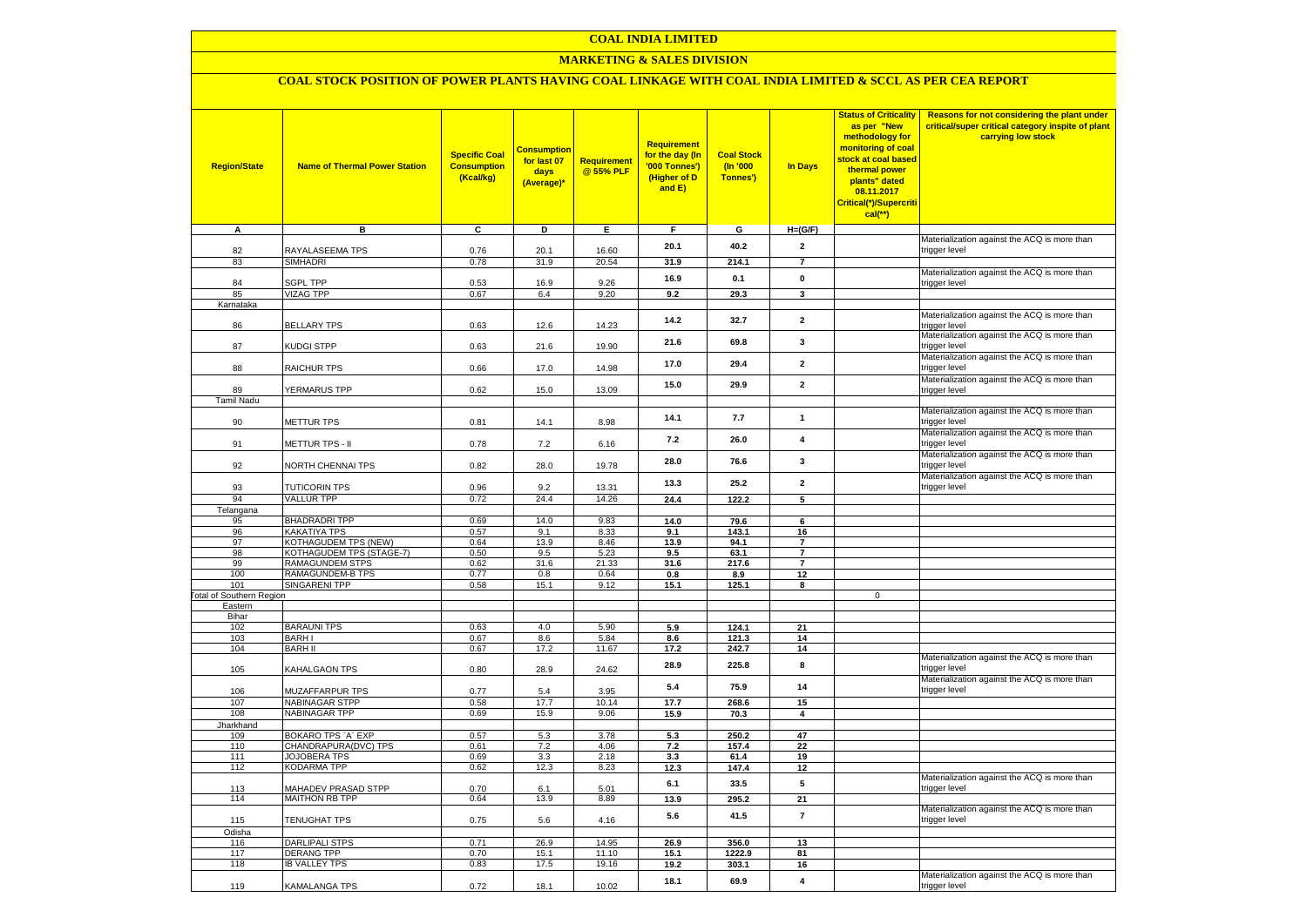### **MARKETING & SALES DIVISION**

# **COAL STOCK POSITION OF POWER PLANTS HAVING COAL LINKAGE WITH COAL INDIA LIMITED & SCCL AS PER CEA REPORT**

| <b>Region/State</b>             | <b>Name of Thermal Power Station</b> | <b>Specific Coal</b><br><b>Consumption</b><br>(Kcal/kg) | <b>Consumption</b><br>for last 07<br>days<br>(Average)* | <b>Requirement</b><br>@ 55% PLF | <b>Requirement</b><br>for the day (In<br>'000 Tonnes')<br>(Higher of D<br>and E) | <b>Coal Stock</b><br>$($ ln '000<br>Tonnes') | In Days                 | <b>Status of Criticality</b><br>as per "New<br>methodology for<br>monitoring of coal<br>stock at coal based<br>thermal power<br>plants" dated<br>08.11.2017<br>Critical(*)/Supercriti<br>$cal$ (**) | Reasons for not considering the plant under<br>critical/super critical category inspite of plant<br>carrying low stock |
|---------------------------------|--------------------------------------|---------------------------------------------------------|---------------------------------------------------------|---------------------------------|----------------------------------------------------------------------------------|----------------------------------------------|-------------------------|-----------------------------------------------------------------------------------------------------------------------------------------------------------------------------------------------------|------------------------------------------------------------------------------------------------------------------------|
| A                               | в                                    | c                                                       | D                                                       | Е                               | F.                                                                               | G                                            | $H=(G/F)$               |                                                                                                                                                                                                     |                                                                                                                        |
| 82                              | RAYALASEEMA TPS                      | 0.76                                                    | 20.1                                                    | 16.60                           | 20.1                                                                             | 40.2                                         | $\overline{2}$          |                                                                                                                                                                                                     | Materialization against the ACQ is more than<br>trigger level                                                          |
| 83                              | SIMHADRI                             | 0.78                                                    | 31.9                                                    | 20.54                           | 31.9                                                                             | 214.1                                        | $\overline{7}$          |                                                                                                                                                                                                     |                                                                                                                        |
|                                 |                                      |                                                         |                                                         |                                 |                                                                                  |                                              |                         |                                                                                                                                                                                                     | Materialization against the ACQ is more than                                                                           |
| 84                              | <b>SGPL TPP</b>                      | 0.53                                                    | 16.9                                                    | 9.26                            | 16.9                                                                             | 0.1                                          | $\pmb{0}$               |                                                                                                                                                                                                     | trigger level                                                                                                          |
| 85                              | <b>VIZAG TPP</b>                     | 0.67                                                    | 6.4                                                     | 9.20                            | 9.2                                                                              | 29.3                                         | $\mathbf{3}$            |                                                                                                                                                                                                     |                                                                                                                        |
| Karnataka                       |                                      |                                                         |                                                         |                                 |                                                                                  |                                              |                         |                                                                                                                                                                                                     | Materialization against the ACQ is more than                                                                           |
| 86                              | <b>BELLARY TPS</b>                   | 0.63                                                    | 12.6                                                    | 14.23                           | 14.2                                                                             | 32.7                                         | $\mathbf{2}$            |                                                                                                                                                                                                     | trigger level                                                                                                          |
| 87                              | KUDGI STPP                           | 0.63                                                    | 21.6                                                    | 19.90                           | 21.6                                                                             | 69.8                                         | 3                       |                                                                                                                                                                                                     | Materialization against the ACQ is more than<br>trigger level                                                          |
| 88                              | <b>RAICHUR TPS</b>                   | 0.66                                                    | 17.0                                                    | 14.98                           | 17.0                                                                             | 29.4                                         | $\overline{2}$          |                                                                                                                                                                                                     | Materialization against the ACQ is more than<br>trigger level                                                          |
|                                 |                                      |                                                         |                                                         |                                 | 15.0                                                                             | 29.9                                         | $\overline{2}$          |                                                                                                                                                                                                     | Materialization against the ACQ is more than                                                                           |
| 89                              | <b>YERMARUS TPP</b>                  | 0.62                                                    | 15.0                                                    | 13.09                           |                                                                                  |                                              |                         |                                                                                                                                                                                                     | trigger level                                                                                                          |
| <b>Tamil Nadu</b>               |                                      |                                                         |                                                         |                                 |                                                                                  |                                              |                         |                                                                                                                                                                                                     | Materialization against the ACQ is more than                                                                           |
| 90                              | <b>METTUR TPS</b>                    | 0.81                                                    | 14.1                                                    | 8.98                            | 14.1                                                                             | 7.7                                          | $\mathbf{1}$            |                                                                                                                                                                                                     | trigger level                                                                                                          |
|                                 |                                      |                                                         |                                                         |                                 | 7.2                                                                              | 26.0                                         | 4                       |                                                                                                                                                                                                     | Materialization against the ACQ is more than                                                                           |
| 91                              | METTUR TPS - II                      | 0.78                                                    | 7.2                                                     | 6.16                            |                                                                                  |                                              |                         |                                                                                                                                                                                                     | trigger level<br>Materialization against the ACQ is more than                                                          |
| 92                              | <b>VORTH CHENNAI TPS</b>             | 0.82                                                    | 28.0                                                    | 19.78                           | 28.0                                                                             | 76.6                                         | 3                       |                                                                                                                                                                                                     | trigger level                                                                                                          |
|                                 |                                      |                                                         |                                                         |                                 |                                                                                  |                                              |                         |                                                                                                                                                                                                     | Materialization against the ACQ is more than                                                                           |
| 93                              | <b>TUTICORIN TPS</b>                 | 0.96                                                    | 9.2                                                     | 13.31                           | 13.3                                                                             | 25.2                                         | $\mathbf{2}$            |                                                                                                                                                                                                     | trigger level                                                                                                          |
| 94                              | <b>VALLUR TPP</b>                    | 0.72                                                    | 24.4                                                    | 14.26                           | 24.4                                                                             | 122.2                                        | $\overline{5}$          |                                                                                                                                                                                                     |                                                                                                                        |
| Telangana                       |                                      |                                                         |                                                         |                                 |                                                                                  |                                              |                         |                                                                                                                                                                                                     |                                                                                                                        |
| 95<br>96                        | <b>BHADRADRI TPP</b><br>KAKATIYA TPS | 0.69<br>0.57                                            | 14.0<br>9.1                                             | 9.83<br>8.33                    | 14.0<br>9.1                                                                      | 79.6<br>143.1                                | 6<br>16                 |                                                                                                                                                                                                     |                                                                                                                        |
| 97                              | KOTHAGUDEM TPS (NEW)                 | 0.64                                                    | 13.9                                                    | 8.46                            | 13.9                                                                             | 94.1                                         | $\overline{7}$          |                                                                                                                                                                                                     |                                                                                                                        |
| 98                              | KOTHAGUDEM TPS (STAGE-7)             | 0.50                                                    | 9.5                                                     | 5.23                            | 9.5                                                                              | 63.1                                         | $\overline{7}$          |                                                                                                                                                                                                     |                                                                                                                        |
| 99                              | <b>RAMAGUNDEM STPS</b>               | 0.62                                                    | 31.6                                                    | 21.33                           | 31.6                                                                             | 217.6                                        | $\overline{7}$          |                                                                                                                                                                                                     |                                                                                                                        |
| 100                             | <b>RAMAGUNDEM-B TPS</b>              | 0.77                                                    | 0.8                                                     | 0.64                            | 0.8                                                                              | 8.9                                          | 12                      |                                                                                                                                                                                                     |                                                                                                                        |
| 101                             | <b>SINGARENI TPP</b>                 | 0.58                                                    | 15.1                                                    | 9.12                            | 15.1                                                                             | 125.1                                        | 8                       |                                                                                                                                                                                                     |                                                                                                                        |
| <b>Fotal of Southern Region</b> |                                      |                                                         |                                                         |                                 |                                                                                  |                                              |                         | $\mathbf 0$                                                                                                                                                                                         |                                                                                                                        |
| Eastern<br>Bihar                |                                      |                                                         |                                                         |                                 |                                                                                  |                                              |                         |                                                                                                                                                                                                     |                                                                                                                        |
| 102                             | <b>BARAUNI TPS</b>                   | 0.63                                                    | 4.0                                                     | 5.90                            | 5.9                                                                              | 124.1                                        | 21                      |                                                                                                                                                                                                     |                                                                                                                        |
| 103                             | <b>BARHI</b>                         | 0.67                                                    | 8.6                                                     | 5.84                            | 8.6                                                                              | 121.3                                        | 14                      |                                                                                                                                                                                                     |                                                                                                                        |
| 104                             | <b>BARH II</b>                       | 0.67                                                    | 17.2                                                    | 11.67                           | 17.2                                                                             | 242.7                                        | 14                      |                                                                                                                                                                                                     |                                                                                                                        |
| 105                             | KAHALGAON TPS                        | 0.80                                                    | 28.9                                                    | 24.62                           | 28.9                                                                             | 225.8                                        | 8                       |                                                                                                                                                                                                     | Materialization against the ACQ is more than<br>trigger level                                                          |
| 106                             | MUZAFFARPUR TPS                      | 0.77                                                    | 5.4                                                     | 3.95                            | 5.4                                                                              | 75.9                                         | 14                      |                                                                                                                                                                                                     | Materialization against the ACQ is more than<br>trigger level                                                          |
| 107                             | <b>NABINAGAR STPP</b>                | 0.58                                                    | 17.7                                                    | 10.14                           | 17.7                                                                             | 268.6                                        | 15                      |                                                                                                                                                                                                     |                                                                                                                        |
| 108<br>Jharkhand                | <b>NABINAGAR TPP</b>                 | 0.69                                                    | 15.9                                                    | 9.06                            | 15.9                                                                             | 70.3                                         | $\overline{\mathbf{4}}$ |                                                                                                                                                                                                     |                                                                                                                        |
| 109                             | BOKARO TPS `A` EXP                   | 0.57                                                    | 5.3                                                     | 3.78                            | 5.3                                                                              | 250.2                                        | 47                      |                                                                                                                                                                                                     |                                                                                                                        |
| 110                             | CHANDRAPURA(DVC) TPS                 | 0.61                                                    | 7.2                                                     | 4.06                            | 7.2                                                                              | 157.4                                        | 22                      |                                                                                                                                                                                                     |                                                                                                                        |
| 111                             | <b>JOJOBERA TPS</b>                  | 0.69                                                    | 3.3                                                     | 2.18                            | 3.3                                                                              | 61.4                                         | 19                      |                                                                                                                                                                                                     |                                                                                                                        |
| 112                             | KODARMA TPP                          | 0.62                                                    | 12.3                                                    | 8.23                            | 12.3                                                                             | 147.4                                        | 12                      |                                                                                                                                                                                                     |                                                                                                                        |
| 113                             | <b>MAHADEV PRASAD STPP</b>           | 0.70                                                    | 6.1                                                     | 5.01                            | 6.1                                                                              | 33.5                                         | 5                       |                                                                                                                                                                                                     | Materialization against the ACQ is more than<br>trigger level                                                          |
| 114                             | <b>MAITHON RB TPP</b>                | 0.64                                                    | 13.9                                                    | 8.89                            | 13.9                                                                             | 295.2                                        | 21                      |                                                                                                                                                                                                     |                                                                                                                        |
| 115                             | TENUGHAT TPS                         | 0.75                                                    | 5.6                                                     | 4.16                            | 5.6                                                                              | 41.5                                         | $\overline{7}$          |                                                                                                                                                                                                     | Materialization against the ACQ is more than<br>trigger level                                                          |
| Odisha                          |                                      |                                                         |                                                         |                                 |                                                                                  |                                              |                         |                                                                                                                                                                                                     |                                                                                                                        |
| 116                             | <b>DARLIPALI STPS</b>                | 0.71                                                    | 26.9                                                    | 14.95                           | 26.9                                                                             | 356.0                                        | 13                      |                                                                                                                                                                                                     |                                                                                                                        |
| 117                             | <b>DERANG TPP</b>                    | 0.70                                                    | 15.1                                                    | 11.10                           | 15.1                                                                             | 1222.9                                       | 81                      |                                                                                                                                                                                                     |                                                                                                                        |
| 118                             | <b>IB VALLEY TPS</b>                 | 0.83                                                    | 17.5                                                    | 19.16                           | 19.2                                                                             | 303.1                                        | 16                      |                                                                                                                                                                                                     |                                                                                                                        |
| 119                             | KAMALANGA TPS                        | 0.72                                                    | 18.1                                                    | 10.02                           | 18.1                                                                             | 69.9                                         | $\overline{\mathbf{4}}$ |                                                                                                                                                                                                     | Materialization against the ACQ is more than<br>trigger level                                                          |